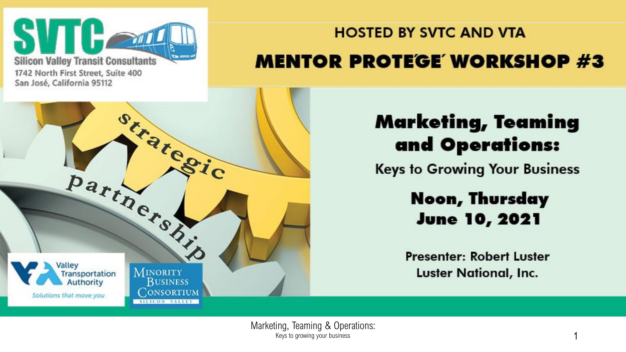

#### 1742 North First Street, Suite 400 San José, California 95112

#### **HOSTED BY SVTC AND VTA MENTOR PROTEGE WORKSHOP #3**



#### **Marketing, Teaming** and Operations:

**Keys to Growing Your Business** 

#### Noon, Thursday **June 10, 2021**

**Presenter: Robert Luster Luster National, Inc.**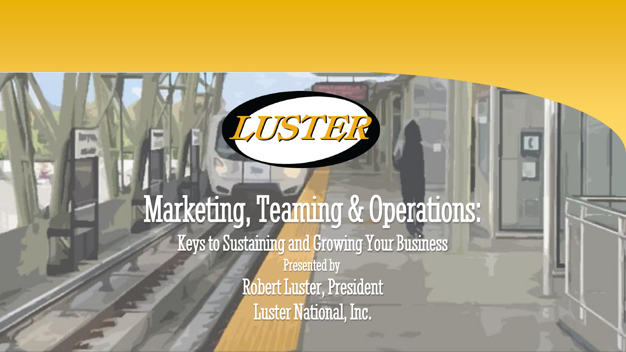### Marketing, Teaming & Operations: Keys to Sustaining and Growing Your Business Presented by Robert Luster, President Luster National, Inc.

LUSTER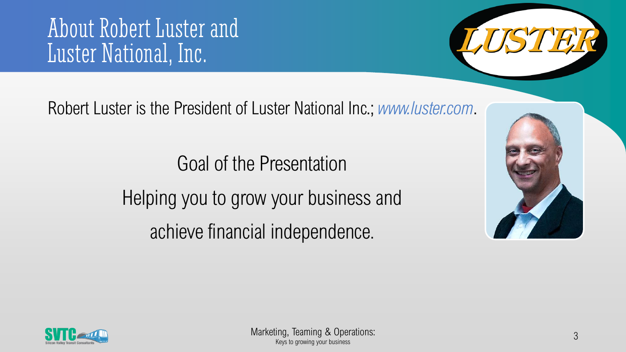#### About Robert Luster and Luster National, Inc.



Robert Luster is the President of Luster National Inc.; *www.luster.com*.

Goal of the Presentation Helping you to grow your business and achieve financial independence.



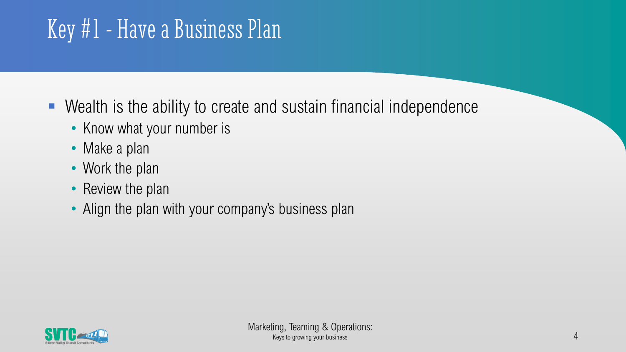# Key #1 - Have a Business Plan

- Wealth is the ability to create and sustain financial independence
	- Know what your number is
	- Make a plan
	- Work the plan
	- Review the plan
	- Align the plan with your company's business plan

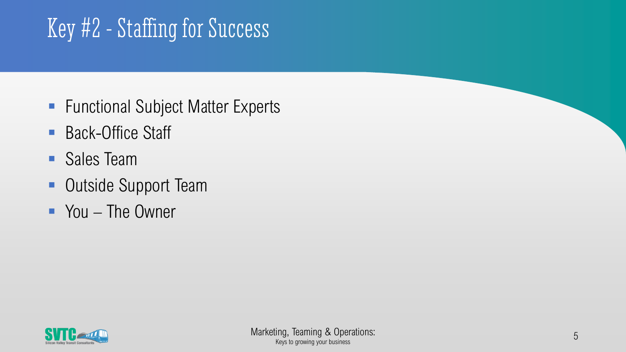# Key #2 - Staffing for Success

- Functional Subject Matter Experts
- Back-Office Staff
- Sales Team
- Outside Support Team
- You The Owner

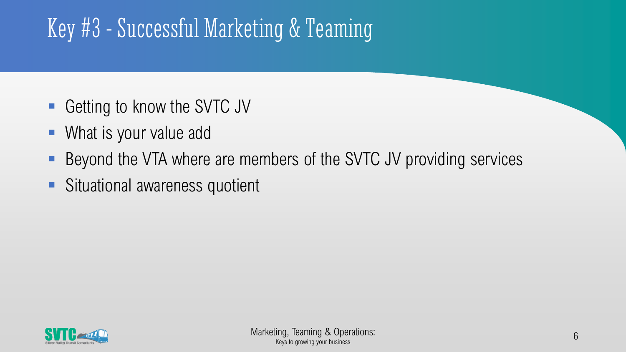# Key #3 - Successful Marketing & Teaming

- Getting to know the SVTC JV
- What is your value add
- Beyond the VTA where are members of the SVTC JV providing services
- **EXTERGING Situational awareness quotient**

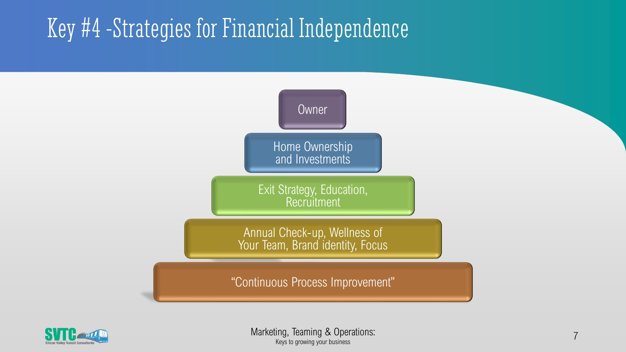## Key #4 -Strategies for Financial Independence



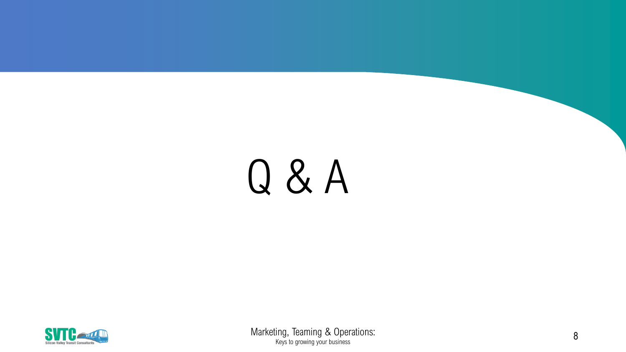# Q & A



Marketing, Teaming & Operations: Keys to growing your business